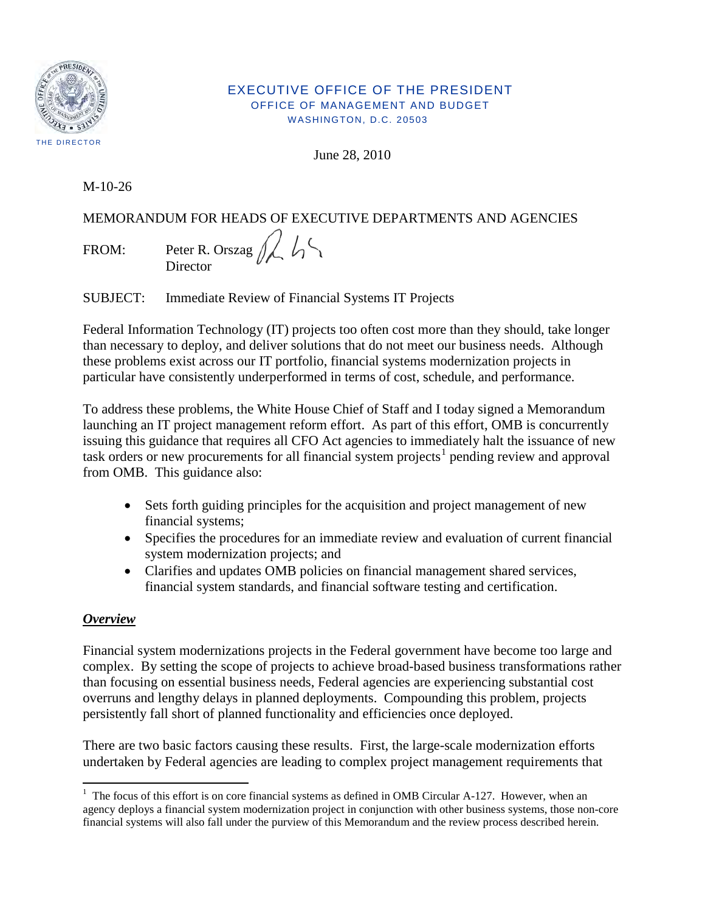

#### EXECUTIVE OFFICE OF THE PRESIDENT OFFICE OF MANAGEMENT AND BUDGET WASHINGTON, D.C. 20503

June 28, 2010

M-10-26

# MEMORANDUM FOR HEADS OF EXECUTIVE DEPARTMENTS AND AGENCIES

FROM: Peter R. Orszag  $\Lambda$ **Director** 

SUBJECT: Immediate Review of Financial Systems IT Projects

Federal Information Technology (IT) projects too often cost more than they should, take longer than necessary to deploy, and deliver solutions that do not meet our business needs. Although these problems exist across our IT portfolio, financial systems modernization projects in particular have consistently underperformed in terms of cost, schedule, and performance.

To address these problems, the White House Chief of Staff and I today signed a Memorandum launching an IT project management reform effort. As part of this effort, OMB is concurrently issuing this guidance that requires all CFO Act agencies to immediately halt the issuance of new task orders or new procurements for all financial system projects<sup>[1](#page-0-0)</sup> pending review and approval from OMB. This guidance also:

- Sets forth guiding principles for the acquisition and project management of new financial systems;
- Specifies the procedures for an immediate review and evaluation of current financial system modernization projects; and
- Clarifies and updates OMB policies on financial management shared services, financial system standards, and financial software testing and certification.

# *Overview*

Financial system modernizations projects in the Federal government have become too large and complex. By setting the scope of projects to achieve broad-based business transformations rather than focusing on essential business needs, Federal agencies are experiencing substantial cost overruns and lengthy delays in planned deployments. Compounding this problem, projects persistently fall short of planned functionality and efficiencies once deployed.

There are two basic factors causing these results. First, the large-scale modernization efforts undertaken by Federal agencies are leading to complex project management requirements that

<span id="page-0-0"></span><sup>&</sup>lt;sup>1</sup> The focus of this effort is on core financial systems as defined in OMB Circular A-127. However, when an agency deploys a financial system modernization project in conjunction with other business systems, those non-core financial systems will also fall under the purview of this Memorandum and the review process described herein.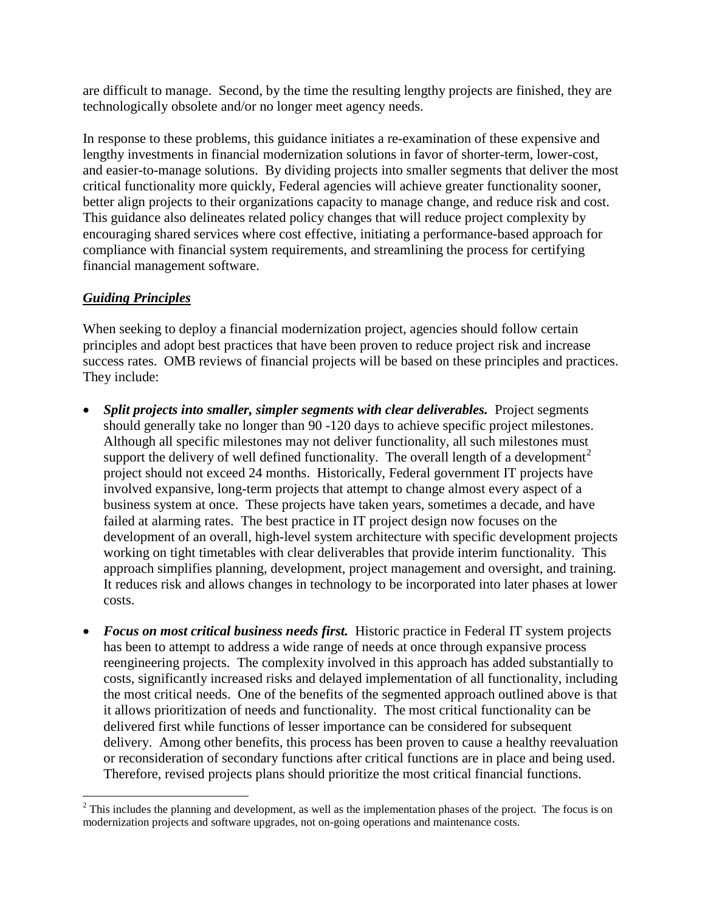are difficult to manage. Second, by the time the resulting lengthy projects are finished, they are technologically obsolete and/or no longer meet agency needs.

In response to these problems, this guidance initiates a re-examination of these expensive and lengthy investments in financial modernization solutions in favor of shorter-term, lower-cost, and easier-to-manage solutions. By dividing projects into smaller segments that deliver the most critical functionality more quickly, Federal agencies will achieve greater functionality sooner, better align projects to their organizations capacity to manage change, and reduce risk and cost. This guidance also delineates related policy changes that will reduce project complexity by encouraging shared services where cost effective, initiating a performance-based approach for compliance with financial system requirements, and streamlining the process for certifying financial management software.

### *Guiding Principles*

When seeking to deploy a financial modernization project, agencies should follow certain principles and adopt best practices that have been proven to reduce project risk and increase success rates. OMB reviews of financial projects will be based on these principles and practices. They include:

- **Split projects into smaller, simpler segments with clear deliverables.** Project segments should generally take no longer than 90 -120 days to achieve specific project milestones. Although all specific milestones may not deliver functionality, all such milestones must support the delivery of well defined functionality. The overall length of a development<sup>[2](#page-1-0)</sup> project should not exceed 24 months. Historically, Federal government IT projects have involved expansive, long-term projects that attempt to change almost every aspect of a business system at once. These projects have taken years, sometimes a decade, and have failed at alarming rates. The best practice in IT project design now focuses on the development of an overall, high-level system architecture with specific development projects working on tight timetables with clear deliverables that provide interim functionality. This approach simplifies planning, development, project management and oversight, and training. It reduces risk and allows changes in technology to be incorporated into later phases at lower costs.
- *Focus on most critical business needs first.* Historic practice in Federal IT system projects has been to attempt to address a wide range of needs at once through expansive process reengineering projects. The complexity involved in this approach has added substantially to costs, significantly increased risks and delayed implementation of all functionality, including the most critical needs. One of the benefits of the segmented approach outlined above is that it allows prioritization of needs and functionality. The most critical functionality can be delivered first while functions of lesser importance can be considered for subsequent delivery. Among other benefits, this process has been proven to cause a healthy reevaluation or reconsideration of secondary functions after critical functions are in place and being used. Therefore, revised projects plans should prioritize the most critical financial functions.

<span id="page-1-0"></span>l  $2<sup>2</sup>$  This includes the planning and development, as well as the implementation phases of the project. The focus is on modernization projects and software upgrades, not on-going operations and maintenance costs.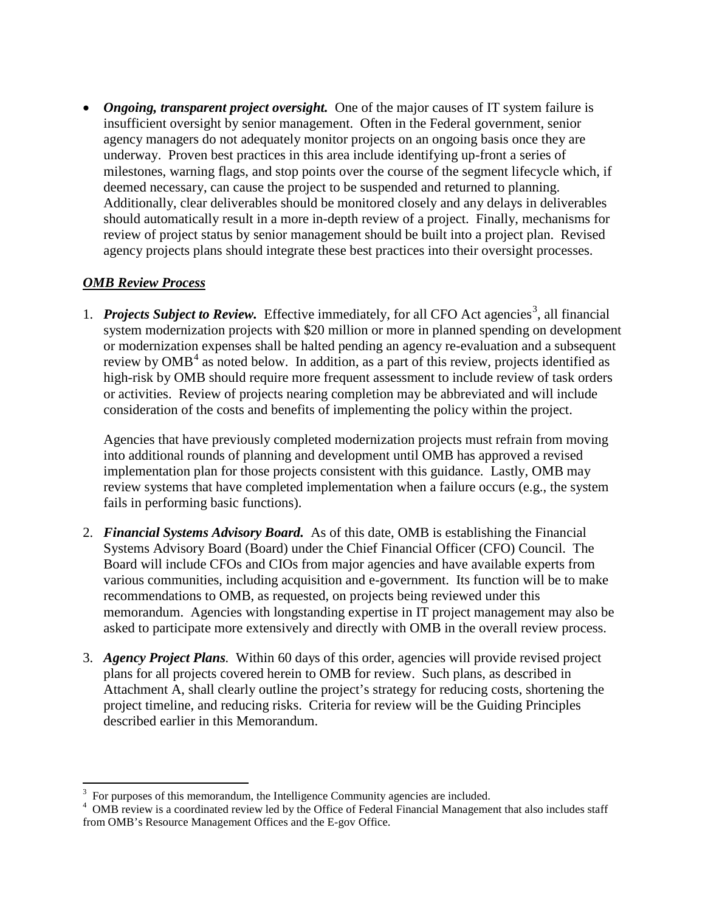• *Ongoing, transparent project oversight.* One of the major causes of IT system failure is insufficient oversight by senior management. Often in the Federal government, senior agency managers do not adequately monitor projects on an ongoing basis once they are underway. Proven best practices in this area include identifying up-front a series of milestones, warning flags, and stop points over the course of the segment lifecycle which, if deemed necessary, can cause the project to be suspended and returned to planning. Additionally, clear deliverables should be monitored closely and any delays in deliverables should automatically result in a more in-depth review of a project. Finally, mechanisms for review of project status by senior management should be built into a project plan. Revised agency projects plans should integrate these best practices into their oversight processes.

### *OMB Review Process*

1. *Projects Subject to Review*. Effective immediately, for all CFO Act agencies<sup>[3](#page-2-0)</sup>, all financial system modernization projects with \$20 million or more in planned spending on development or modernization expenses shall be halted pending an agency re-evaluation and a subsequent review by  $OMB<sup>4</sup>$  $OMB<sup>4</sup>$  $OMB<sup>4</sup>$  as noted below. In addition, as a part of this review, projects identified as high-risk by OMB should require more frequent assessment to include review of task orders or activities. Review of projects nearing completion may be abbreviated and will include consideration of the costs and benefits of implementing the policy within the project.

Agencies that have previously completed modernization projects must refrain from moving into additional rounds of planning and development until OMB has approved a revised implementation plan for those projects consistent with this guidance. Lastly, OMB may review systems that have completed implementation when a failure occurs (e.g., the system fails in performing basic functions).

- 2. *Financial Systems Advisory Board.* As of this date, OMB is establishing the Financial Systems Advisory Board (Board) under the Chief Financial Officer (CFO) Council. The Board will include CFOs and CIOs from major agencies and have available experts from various communities, including acquisition and e-government. Its function will be to make recommendations to OMB, as requested, on projects being reviewed under this memorandum. Agencies with longstanding expertise in IT project management may also be asked to participate more extensively and directly with OMB in the overall review process.
- 3. *Agency Project Plans.* Within 60 days of this order, agencies will provide revised project plans for all projects covered herein to OMB for review. Such plans, as described in Attachment A, shall clearly outline the project's strategy for reducing costs, shortening the project timeline, and reducing risks. Criteria for review will be the Guiding Principles described earlier in this Memorandum.

<sup>&</sup>lt;sup>2</sup><br>3

<span id="page-2-1"></span><span id="page-2-0"></span> $\alpha^4$  OMB review is a coordinated review led by the Office of Federal Financial Management that also includes staff  $\alpha^4$ from OMB's Resource Management Offices and the E-gov Office.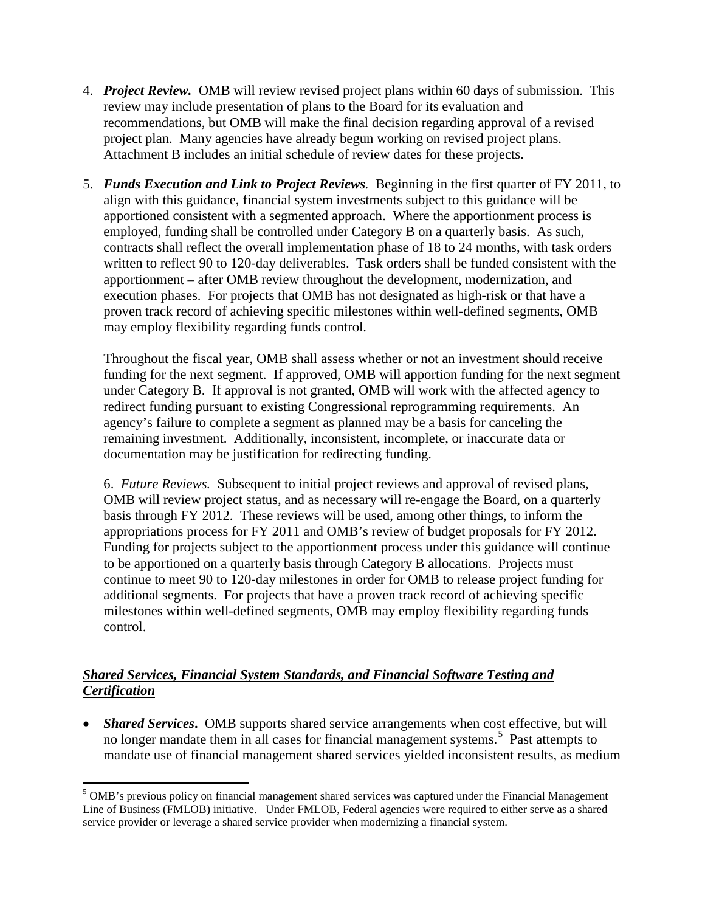- 4. *Project Review.* OMB will review revised project plans within 60 days of submission. This review may include presentation of plans to the Board for its evaluation and recommendations, but OMB will make the final decision regarding approval of a revised project plan. Many agencies have already begun working on revised project plans. Attachment B includes an initial schedule of review dates for these projects.
- 5. *Funds Execution and Link to Project Reviews.* Beginning in the first quarter of FY 2011, to align with this guidance, financial system investments subject to this guidance will be apportioned consistent with a segmented approach. Where the apportionment process is employed, funding shall be controlled under Category B on a quarterly basis. As such, contracts shall reflect the overall implementation phase of 18 to 24 months, with task orders written to reflect 90 to 120-day deliverables. Task orders shall be funded consistent with the apportionment – after OMB review throughout the development, modernization, and execution phases. For projects that OMB has not designated as high-risk or that have a proven track record of achieving specific milestones within well-defined segments, OMB may employ flexibility regarding funds control.

Throughout the fiscal year, OMB shall assess whether or not an investment should receive funding for the next segment. If approved, OMB will apportion funding for the next segment under Category B. If approval is not granted, OMB will work with the affected agency to redirect funding pursuant to existing Congressional reprogramming requirements. An agency's failure to complete a segment as planned may be a basis for canceling the remaining investment. Additionally, inconsistent, incomplete, or inaccurate data or documentation may be justification for redirecting funding.

6. *Future Reviews.*Subsequent to initial project reviews and approval of revised plans, OMB will review project status, and as necessary will re-engage the Board, on a quarterly basis through FY 2012. These reviews will be used, among other things, to inform the appropriations process for FY 2011 and OMB's review of budget proposals for FY 2012. Funding for projects subject to the apportionment process under this guidance will continue to be apportioned on a quarterly basis through Category B allocations. Projects must continue to meet 90 to 120-day milestones in order for OMB to release project funding for additional segments. For projects that have a proven track record of achieving specific milestones within well-defined segments, OMB may employ flexibility regarding funds control.

### *Shared Services, Financial System Standards, and Financial Software Testing and Certification*

• *Shared Services*. OMB supports shared service arrangements when cost effective, but will no longer mandate them in all cases for financial management systems. [5](#page-3-0) Past attempts to mandate use of financial management shared services yielded inconsistent results, as medium

<span id="page-3-0"></span> $\overline{\phantom{a}}$ <sup>5</sup> OMB's previous policy on financial management shared services was captured under the Financial Management Line of Business (FMLOB) initiative. Under FMLOB, Federal agencies were required to either serve as a shared service provider or leverage a shared service provider when modernizing a financial system.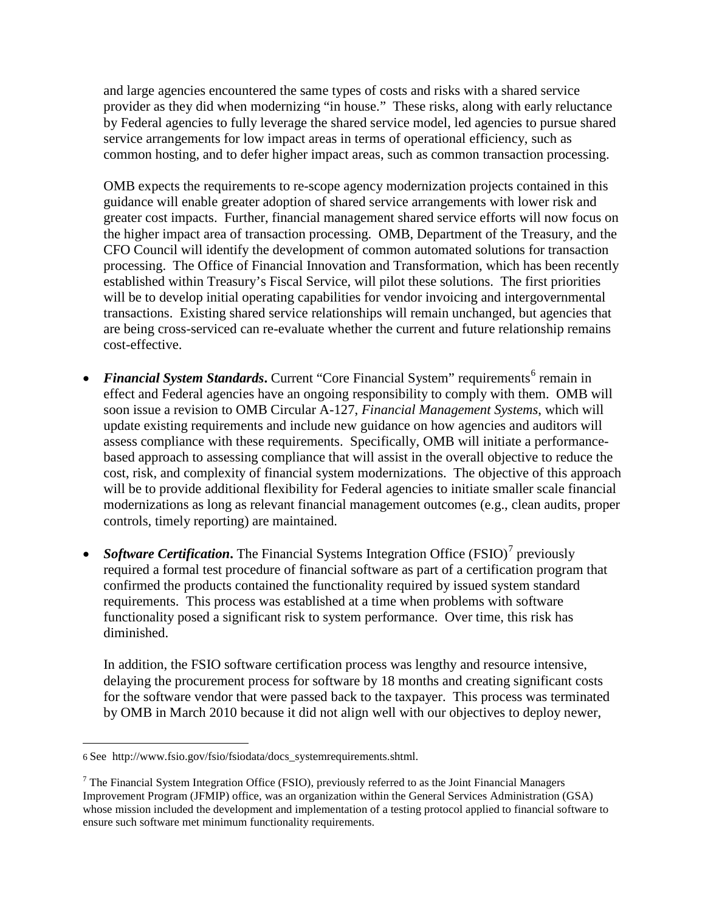and large agencies encountered the same types of costs and risks with a shared service provider as they did when modernizing "in house." These risks, along with early reluctance by Federal agencies to fully leverage the shared service model, led agencies to pursue shared service arrangements for low impact areas in terms of operational efficiency, such as common hosting, and to defer higher impact areas, such as common transaction processing.

OMB expects the requirements to re-scope agency modernization projects contained in this guidance will enable greater adoption of shared service arrangements with lower risk and greater cost impacts. Further, financial management shared service efforts will now focus on the higher impact area of transaction processing. OMB, Department of the Treasury, and the CFO Council will identify the development of common automated solutions for transaction processing. The Office of Financial Innovation and Transformation, which has been recently established within Treasury's Fiscal Service, will pilot these solutions. The first priorities will be to develop initial operating capabilities for vendor invoicing and intergovernmental transactions. Existing shared service relationships will remain unchanged, but agencies that are being cross-serviced can re-evaluate whether the current and future relationship remains cost-effective.

- *Financial System Standards*. Current "Core Financial System" requirements<sup>[6](#page-4-0)</sup> remain in effect and Federal agencies have an ongoing responsibility to comply with them. OMB will soon issue a revision to OMB Circular A-127, *Financial Management Systems*, which will update existing requirements and include new guidance on how agencies and auditors will assess compliance with these requirements. Specifically, OMB will initiate a performancebased approach to assessing compliance that will assist in the overall objective to reduce the cost, risk, and complexity of financial system modernizations. The objective of this approach will be to provide additional flexibility for Federal agencies to initiate smaller scale financial modernizations as long as relevant financial management outcomes (e.g., clean audits, proper controls, timely reporting) are maintained.
- *Software Certification*. The Financial Systems Integration Office (FSIO)<sup>[7](#page-4-1)</sup> previously required a formal test procedure of financial software as part of a certification program that confirmed the products contained the functionality required by issued system standard requirements. This process was established at a time when problems with software functionality posed a significant risk to system performance. Over time, this risk has diminished.

In addition, the FSIO software certification process was lengthy and resource intensive, delaying the procurement process for software by 18 months and creating significant costs for the software vendor that were passed back to the taxpayer. This process was terminated by OMB in March 2010 because it did not align well with our objectives to deploy newer,

 $\overline{\phantom{a}}$ 

<span id="page-4-0"></span><sup>6</sup> See [http://www.fsio.gov/fsio/fsiodata/docs\\_systemrequirements.shtml.](http://www.fsio.gov/fsio/fsiodata/docs_systemrequirements.shtml)

<span id="page-4-1"></span> $7$  The Financial System Integration Office (FSIO), previously referred to as the Joint Financial Managers Improvement Program (JFMIP) office, was an organization within the General Services Administration (GSA) whose mission included the development and implementation of a testing protocol applied to financial software to ensure such software met minimum functionality requirements.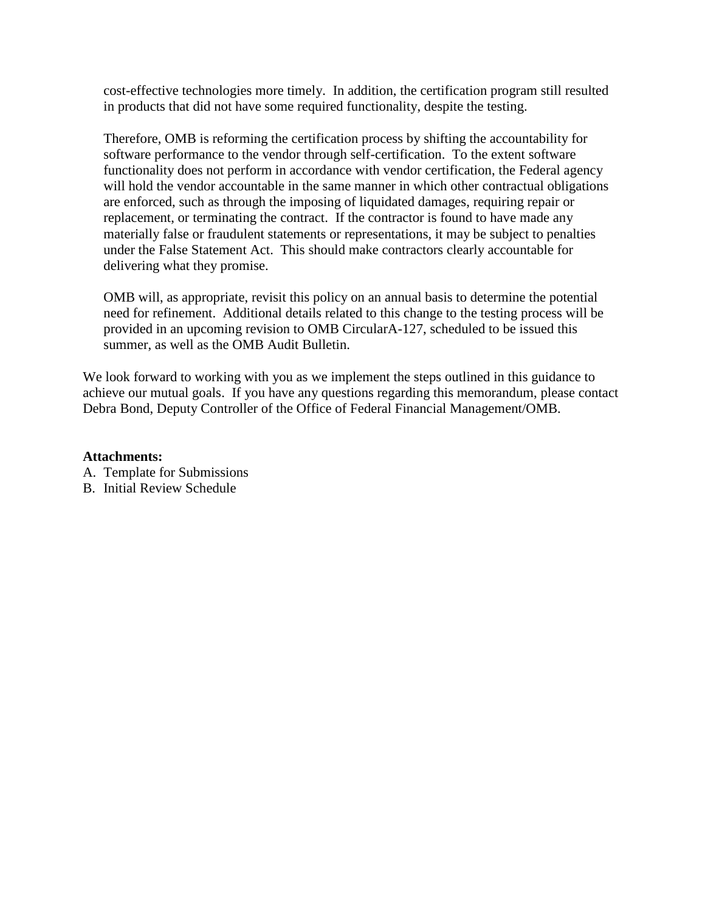cost-effective technologies more timely. In addition, the certification program still resulted in products that did not have some required functionality, despite the testing.

Therefore, OMB is reforming the certification process by shifting the accountability for software performance to the vendor through self-certification. To the extent software functionality does not perform in accordance with vendor certification, the Federal agency will hold the vendor accountable in the same manner in which other contractual obligations are enforced, such as through the imposing of liquidated damages, requiring repair or replacement, or terminating the contract. If the contractor is found to have made any materially false or fraudulent statements or representations, it may be subject to penalties under the False Statement Act. This should make contractors clearly accountable for delivering what they promise.

OMB will, as appropriate, revisit this policy on an annual basis to determine the potential need for refinement. Additional details related to this change to the testing process will be provided in an upcoming revision to OMB CircularA-127, scheduled to be issued this summer, as well as the OMB Audit Bulletin.

We look forward to working with you as we implement the steps outlined in this guidance to achieve our mutual goals. If you have any questions regarding this memorandum, please contact Debra Bond, Deputy Controller of the Office of Federal Financial Management/OMB.

#### **Attachments:**

- A. Template for Submissions
- B. Initial Review Schedule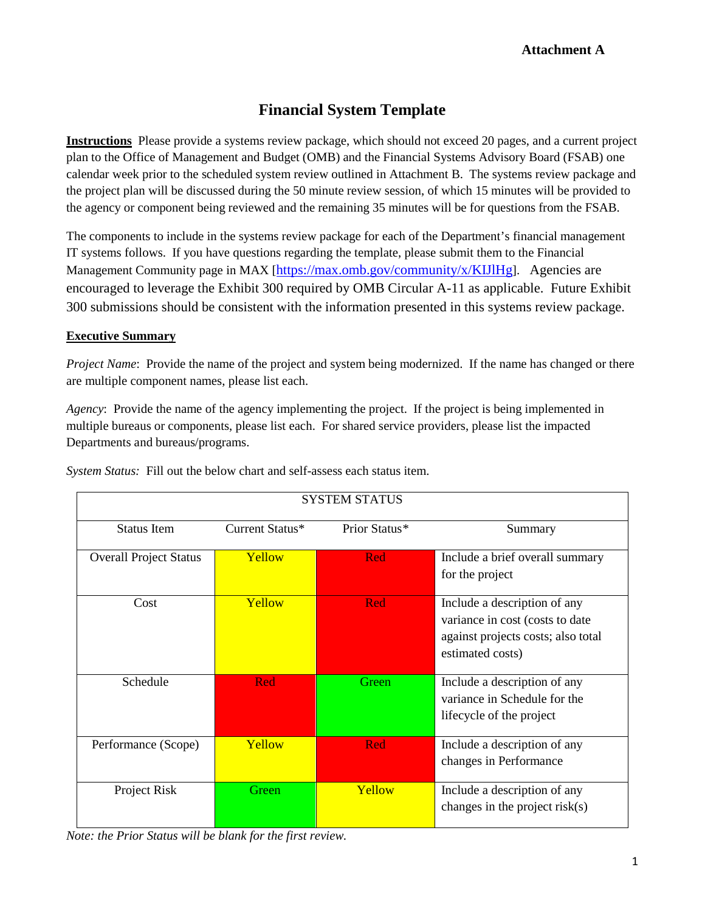# **Financial System Template**

**Instructions** Please provide a systems review package, which should not exceed 20 pages, and a current project plan to the Office of Management and Budget (OMB) and the Financial Systems Advisory Board (FSAB) one calendar week prior to the scheduled system review outlined in Attachment B. The systems review package and the project plan will be discussed during the 50 minute review session, of which 15 minutes will be provided to the agency or component being reviewed and the remaining 35 minutes will be for questions from the FSAB.

The components to include in the systems review package for each of the Department's financial management IT systems follows. If you have questions regarding the template, please submit them to the Financial Management Community page in MAX [[https://max.omb.gov/community/x/KIJlHg\]](https://max.omb.gov/community/x/KIJlHg). Agencies are encouraged to leverage the Exhibit 300 required by OMB Circular A-11 as applicable. Future Exhibit 300 submissions should be consistent with the information presented in this systems review package.

#### **Executive Summary**

*Project Name*: Provide the name of the project and system being modernized. If the name has changed or there are multiple component names, please list each.

*Agency*: Provide the name of the agency implementing the project. If the project is being implemented in multiple bureaus or components, please list each. For shared service providers, please list the impacted Departments and bureaus/programs.

| <b>SYSTEM STATUS</b>          |                 |               |                                                                                                                           |
|-------------------------------|-----------------|---------------|---------------------------------------------------------------------------------------------------------------------------|
| <b>Status Item</b>            | Current Status* | Prior Status* | Summary                                                                                                                   |
| <b>Overall Project Status</b> | Yellow          | Red           | Include a brief overall summary<br>for the project                                                                        |
| Cost                          | Yellow          | Red           | Include a description of any<br>variance in cost (costs to date<br>against projects costs; also total<br>estimated costs) |
| Schedule                      | <b>Red</b>      | Green         | Include a description of any<br>variance in Schedule for the<br>lifecycle of the project                                  |
| Performance (Scope)           | Yellow          | Red           | Include a description of any<br>changes in Performance                                                                    |
| Project Risk                  | Green           | Yellow        | Include a description of any<br>changes in the project risk $(s)$                                                         |

*System Status:* Fill out the below chart and self-assess each status item.

*Note: the Prior Status will be blank for the first review.*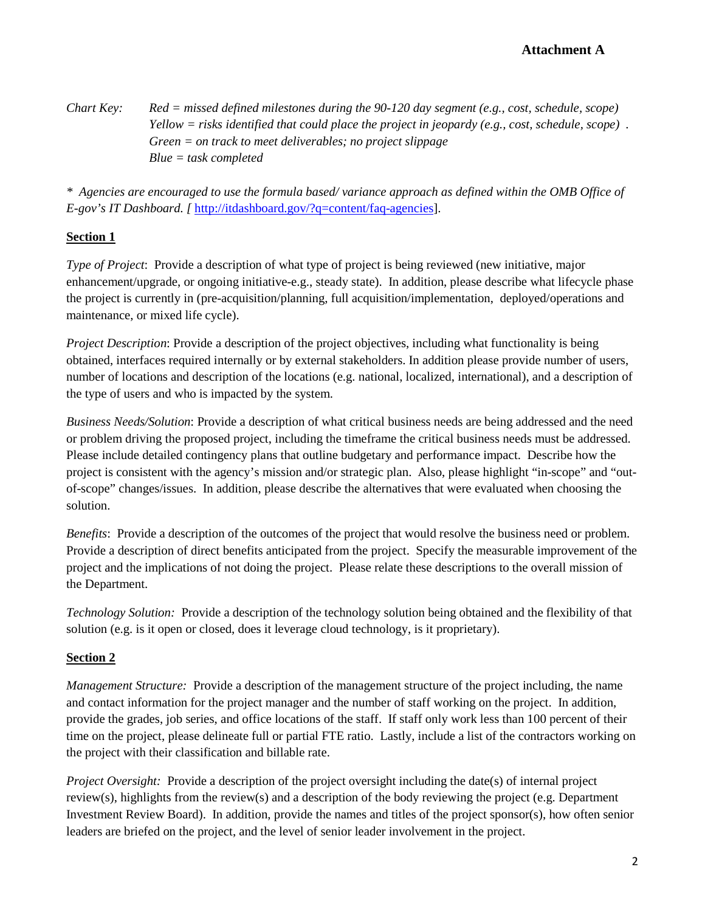*Chart Key: Red = missed defined milestones during the 90-120 day segment (e.g., cost, schedule, scope) Yellow = risks identified that could place the project in jeopardy (e.g., cost, schedule, scope) . Green = on track to meet deliverables; no project slippage Blue = task completed* 

*\* Agencies are encouraged to use the formula based/ variance approach as defined within the OMB Office of E-gov's IT Dashboard. [* [http://itdashboard.gov/?q=content/faq-agencies\]](http://itdashboard.gov/?q=content/faq-agencies).

# **Section 1**

*Type of Project*: Provide a description of what type of project is being reviewed (new initiative, major enhancement/upgrade, or ongoing initiative-e.g., steady state). In addition, please describe what lifecycle phase the project is currently in (pre-acquisition/planning, full acquisition/implementation, deployed/operations and maintenance, or mixed life cycle).

*Project Description*: Provide a description of the project objectives, including what functionality is being obtained, interfaces required internally or by external stakeholders. In addition please provide number of users, number of locations and description of the locations (e.g. national, localized, international), and a description of the type of users and who is impacted by the system.

*Business Needs/Solution*: Provide a description of what critical business needs are being addressed and the need or problem driving the proposed project, including the timeframe the critical business needs must be addressed. Please include detailed contingency plans that outline budgetary and performance impact. Describe how the project is consistent with the agency's mission and/or strategic plan. Also, please highlight "in-scope" and "outof-scope" changes/issues. In addition, please describe the alternatives that were evaluated when choosing the solution.

*Benefits*: Provide a description of the outcomes of the project that would resolve the business need or problem. Provide a description of direct benefits anticipated from the project. Specify the measurable improvement of the project and the implications of not doing the project. Please relate these descriptions to the overall mission of the Department.

*Technology Solution:*Provide a description of the technology solution being obtained and the flexibility of that solution (e.g. is it open or closed, does it leverage cloud technology, is it proprietary).

# **Section 2**

*Management Structure:* Provide a description of the management structure of the project including, the name and contact information for the project manager and the number of staff working on the project. In addition, provide the grades, job series, and office locations of the staff. If staff only work less than 100 percent of their time on the project, please delineate full or partial FTE ratio. Lastly, include a list of the contractors working on the project with their classification and billable rate.

*Project Oversight:* Provide a description of the project oversight including the date(s) of internal project review(s), highlights from the review(s) and a description of the body reviewing the project (e.g. Department Investment Review Board). In addition, provide the names and titles of the project sponsor(s), how often senior leaders are briefed on the project, and the level of senior leader involvement in the project.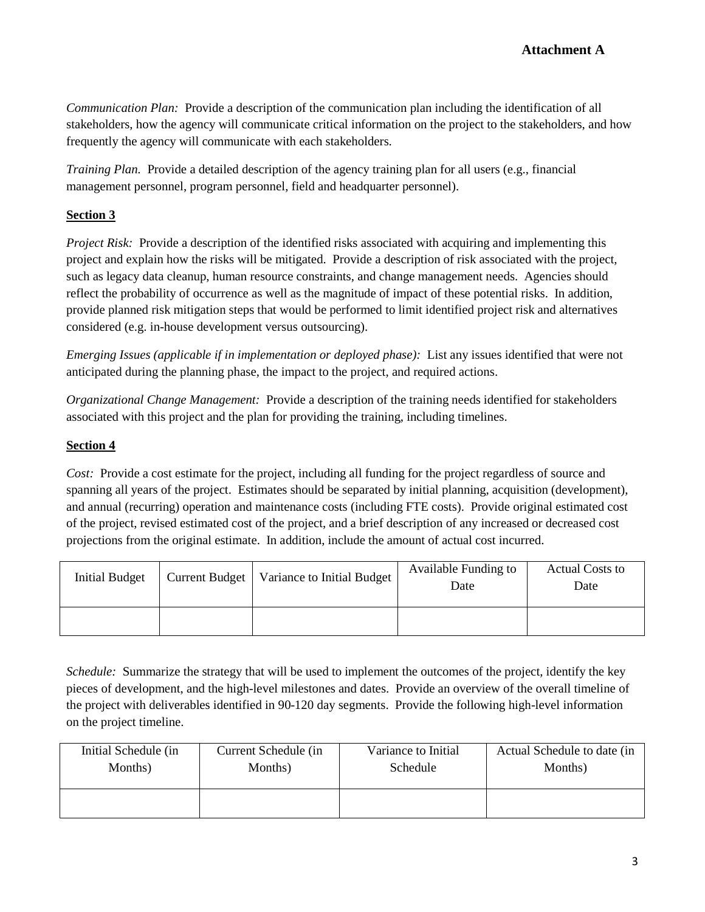*Communication Plan:* Provide a description of the communication plan including the identification of all stakeholders, how the agency will communicate critical information on the project to the stakeholders, and how frequently the agency will communicate with each stakeholders.

*Training Plan.* Provide a detailed description of the agency training plan for all users (e.g., financial management personnel, program personnel, field and headquarter personnel).

### **Section 3**

*Project Risk:* Provide a description of the identified risks associated with acquiring and implementing this project and explain how the risks will be mitigated. Provide a description of risk associated with the project, such as legacy data cleanup, human resource constraints, and change management needs. Agencies should reflect the probability of occurrence as well as the magnitude of impact of these potential risks. In addition, provide planned risk mitigation steps that would be performed to limit identified project risk and alternatives considered (e.g. in-house development versus outsourcing).

*Emerging Issues (applicable if in implementation or deployed phase):* List any issues identified that were not anticipated during the planning phase, the impact to the project, and required actions.

*Organizational Change Management:* Provide a description of the training needs identified for stakeholders associated with this project and the plan for providing the training, including timelines.

### **Section 4**

*Cost:* Provide a cost estimate for the project, including all funding for the project regardless of source and spanning all years of the project. Estimates should be separated by initial planning, acquisition (development), and annual (recurring) operation and maintenance costs (including FTE costs). Provide original estimated cost of the project, revised estimated cost of the project, and a brief description of any increased or decreased cost projections from the original estimate. In addition, include the amount of actual cost incurred.

| Initial Budget | Current Budget   Variance to Initial Budget | Available Funding to<br>Date | <b>Actual Costs to</b><br>Date |
|----------------|---------------------------------------------|------------------------------|--------------------------------|
|                |                                             |                              |                                |

*Schedule:* Summarize the strategy that will be used to implement the outcomes of the project, identify the key pieces of development, and the high-level milestones and dates. Provide an overview of the overall timeline of the project with deliverables identified in 90-120 day segments. Provide the following high-level information on the project timeline.

| Initial Schedule (in | Current Schedule (in | Variance to Initial | Actual Schedule to date (in |
|----------------------|----------------------|---------------------|-----------------------------|
| Months)              | Months)              | Schedule            | Months)                     |
|                      |                      |                     |                             |
|                      |                      |                     |                             |
|                      |                      |                     |                             |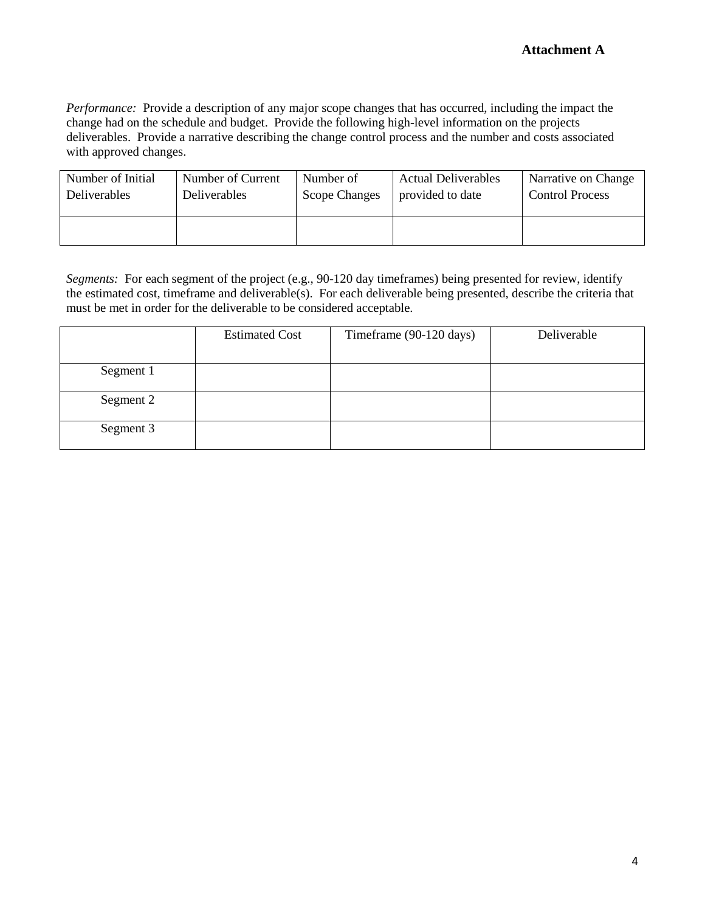*Performance:* Provide a description of any major scope changes that has occurred, including the impact the change had on the schedule and budget. Provide the following high-level information on the projects deliverables. Provide a narrative describing the change control process and the number and costs associated with approved changes.

| Number of Initial   | Number of Current | Number of            | <b>Actual Deliverables</b> | Narrative on Change    |
|---------------------|-------------------|----------------------|----------------------------|------------------------|
| <b>Deliverables</b> | Deliverables      | <b>Scope Changes</b> | provided to date           | <b>Control Process</b> |
|                     |                   |                      |                            |                        |

*Segments:* For each segment of the project (e.g., 90-120 day timeframes) being presented for review, identify the estimated cost, timeframe and deliverable(s). For each deliverable being presented, describe the criteria that must be met in order for the deliverable to be considered acceptable.

|           | <b>Estimated Cost</b> | Timeframe (90-120 days) | Deliverable |
|-----------|-----------------------|-------------------------|-------------|
|           |                       |                         |             |
| Segment 1 |                       |                         |             |
|           |                       |                         |             |
| Segment 2 |                       |                         |             |
| Segment 3 |                       |                         |             |